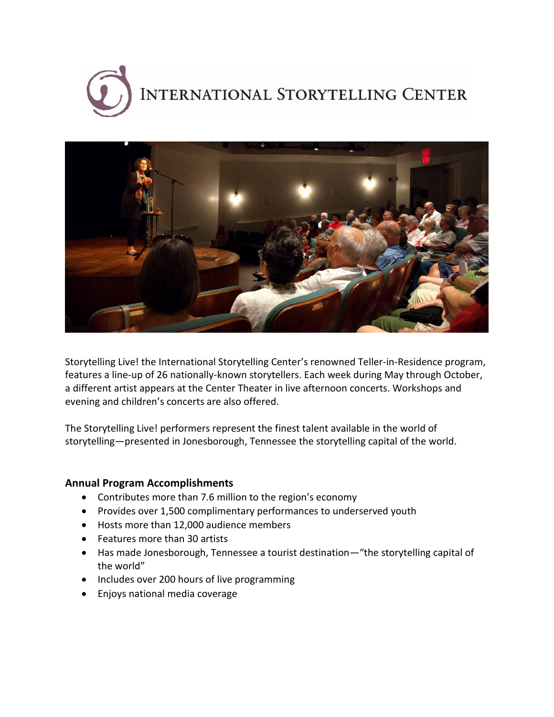



Storytelling Live! the International Storytelling Center's renowned Teller-in-Residence program, features a line-up of 26 nationally-known storytellers. Each week during May through October, a different artist appears at the Center Theater in live afternoon concerts. Workshops and evening and children's concerts are also offered.

The Storytelling Live! performers represent the finest talent available in the world of storytelling—presented in Jonesborough, Tennessee the storytelling capital of the world.

## **Annual Program Accomplishments**

- Contributes more than 7.6 million to the region's economy
- Provides over 1,500 complimentary performances to underserved youth
- Hosts more than 12,000 audience members
- Features more than 30 artists
- Has made Jonesborough, Tennessee a tourist destination—"the storytelling capital of the world"
- Includes over 200 hours of live programming
- Enjoys national media coverage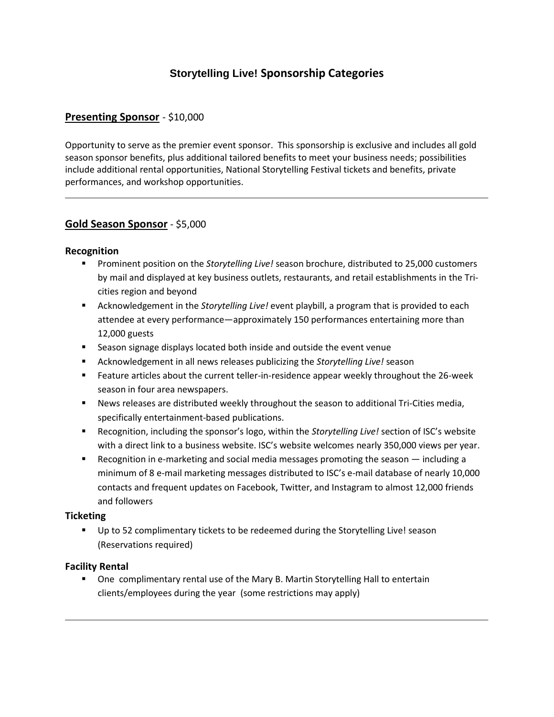# **Storytelling Live! Sponsorship Categories**

## **Presenting Sponsor** - \$10,000

Opportunity to serve as the premier event sponsor. This sponsorship is exclusive and includes all gold season sponsor benefits, plus additional tailored benefits to meet your business needs; possibilities include additional rental opportunities, National Storytelling Festival tickets and benefits, private performances, and workshop opportunities.

## **Gold Season Sponsor** - \$5,000

#### **Recognition**

- Prominent position on the *Storytelling Live!* season brochure, distributed to 25,000 customers by mail and displayed at key business outlets, restaurants, and retail establishments in the Tricities region and beyond
- Acknowledgement in the *Storytelling Live!* event playbill, a program that is provided to each attendee at every performance―approximately 150 performances entertaining more than 12,000 guests
- Season signage displays located both inside and outside the event venue
- Acknowledgement in all news releases publicizing the *Storytelling Live!* season
- Feature articles about the current teller-in-residence appear weekly throughout the 26-week season in four area newspapers.
- News releases are distributed weekly throughout the season to additional Tri-Cities media, specifically entertainment-based publications.
- Recognition, including the sponsor's logo, within the *Storytelling Live!* section of ISC's website with a direct link to a business website. ISC's website welcomes nearly 350,000 views per year.
- Recognition in e-marketing and social media messages promoting the season including a minimum of 8 e-mail marketing messages distributed to ISC's e-mail database of nearly 10,000 contacts and frequent updates on Facebook, Twitter, and Instagram to almost 12,000 friends and followers

#### **Ticketing**

 Up to 52 complimentary tickets to be redeemed during the Storytelling Live! season (Reservations required)

#### **Facility Rental**

**Dimethary rental use of the Mary B. Martin Storytelling Hall to entertain** clients/employees during the year (some restrictions may apply)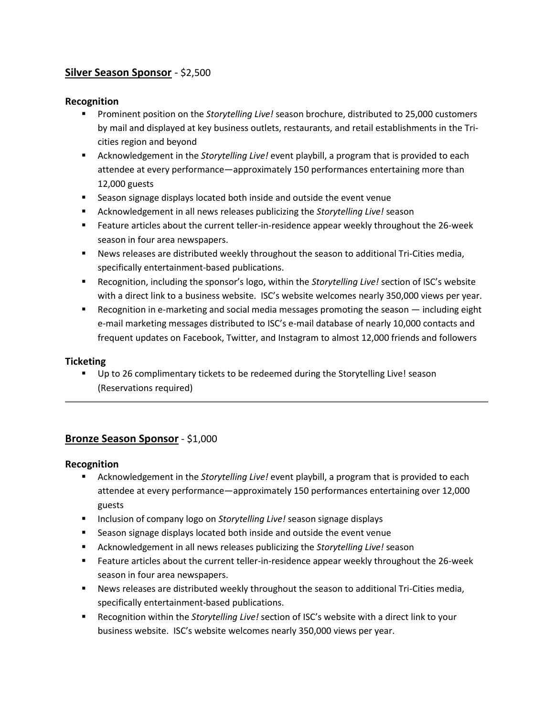## **Silver Season Sponsor** - \$2,500

## **Recognition**

- Prominent position on the *Storytelling Live!* season brochure, distributed to 25,000 customers by mail and displayed at key business outlets, restaurants, and retail establishments in the Tricities region and beyond
- Acknowledgement in the *Storytelling Live!* event playbill, a program that is provided to each attendee at every performance―approximately 150 performances entertaining more than 12,000 guests
- Season signage displays located both inside and outside the event venue
- Acknowledgement in all news releases publicizing the *Storytelling Live!* season
- Feature articles about the current teller-in-residence appear weekly throughout the 26-week season in four area newspapers.
- News releases are distributed weekly throughout the season to additional Tri-Cities media, specifically entertainment-based publications.
- Recognition, including the sponsor's logo, within the *Storytelling Live!* section of ISC's website with a direct link to a business website. ISC's website welcomes nearly 350,000 views per year.
- Recognition in e-marketing and social media messages promoting the season including eight e-mail marketing messages distributed to ISC's e-mail database of nearly 10,000 contacts and frequent updates on Facebook, Twitter, and Instagram to almost 12,000 friends and followers

#### **Ticketing**

 Up to 26 complimentary tickets to be redeemed during the Storytelling Live! season (Reservations required)

## **Bronze Season Sponsor** - \$1,000

#### **Recognition**

- Acknowledgement in the *Storytelling Live!* event playbill, a program that is provided to each attendee at every performance―approximately 150 performances entertaining over 12,000 guests
- **Inclusion of company logo on Storytelling Live! season signage displays**
- Season signage displays located both inside and outside the event venue
- Acknowledgement in all news releases publicizing the *Storytelling Live!* season
- Feature articles about the current teller-in-residence appear weekly throughout the 26-week season in four area newspapers.
- News releases are distributed weekly throughout the season to additional Tri-Cities media, specifically entertainment-based publications.
- Recognition within the *Storytelling Live!* section of ISC's website with a direct link to your business website. ISC's website welcomes nearly 350,000 views per year.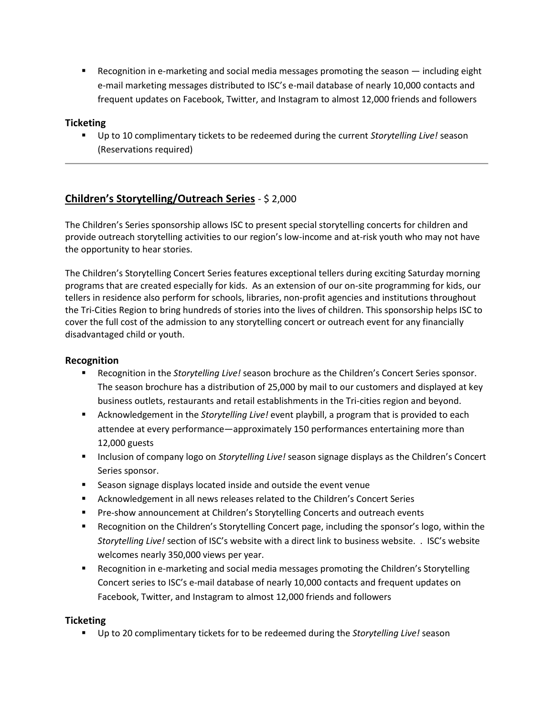■ Recognition in e-marketing and social media messages promoting the season — including eight e-mail marketing messages distributed to ISC's e-mail database of nearly 10,000 contacts and frequent updates on Facebook, Twitter, and Instagram to almost 12,000 friends and followers

## **Ticketing**

 Up to 10 complimentary tickets to be redeemed during the current *Storytelling Live!* season (Reservations required)

## **Children's Storytelling/Outreach Series** - \$ 2,000

The Children's Series sponsorship allows ISC to present special storytelling concerts for children and provide outreach storytelling activities to our region's low-income and at-risk youth who may not have the opportunity to hear stories.

The Children's Storytelling Concert Series features exceptional tellers during exciting Saturday morning programs that are created especially for kids. As an extension of our on-site programming for kids, our tellers in residence also perform for schools, libraries, non-profit agencies and institutions throughout the Tri-Cities Region to bring hundreds of stories into the lives of children. This sponsorship helps ISC to cover the full cost of the admission to any storytelling concert or outreach event for any financially disadvantaged child or youth.

## **Recognition**

- Recognition in the *Storytelling Live!* season brochure as the Children's Concert Series sponsor. The season brochure has a distribution of 25,000 by mail to our customers and displayed at key business outlets, restaurants and retail establishments in the Tri-cities region and beyond.
- Acknowledgement in the *Storytelling Live!* event playbill, a program that is provided to each attendee at every performance―approximately 150 performances entertaining more than 12,000 guests
- **Inclusion of company logo on** *Storytelling Live!* **season signage displays as the Children's Concert** Series sponsor.
- Season signage displays located inside and outside the event venue
- Acknowledgement in all news releases related to the Children's Concert Series
- **Pre-show announcement at Children's Storytelling Concerts and outreach events**
- Recognition on the Children's Storytelling Concert page, including the sponsor's logo, within the *Storytelling Live!* section of ISC's website with a direct link to business website. . ISC's website welcomes nearly 350,000 views per year.
- Recognition in e-marketing and social media messages promoting the Children's Storytelling Concert series to ISC's e-mail database of nearly 10,000 contacts and frequent updates on Facebook, Twitter, and Instagram to almost 12,000 friends and followers

## **Ticketing**

Up to 20 complimentary tickets for to be redeemed during the *Storytelling Live!* season